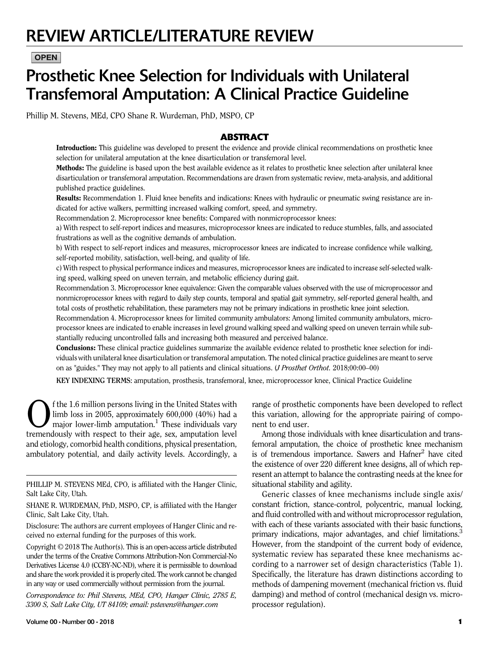# REVIEW ARTICLE/LITERATURE REVIEW

# **OPEN**

# Prosthetic Knee Selection for Individuals with Unilateral Transfemoral Amputation: A Clinical Practice Guideline

Phillip M. Stevens, MEd, CPO Shane R. Wurdeman, PhD, MSPO, CP

# ABSTRACT

Introduction: This guideline was developed to present the evidence and provide clinical recommendations on prosthetic knee selection for unilateral amputation at the knee disarticulation or transfemoral level.

Methods: The guideline is based upon the best available evidence as it relates to prosthetic knee selection after unilateral knee disarticulation or transfemoral amputation. Recommendations are drawn from systematic review, meta-analysis, and additional published practice guidelines.

Results: Recommendation 1. Fluid knee benefits and indications: Knees with hydraulic or pneumatic swing resistance are indicated for active walkers, permitting increased walking comfort, speed, and symmetry.

Recommendation 2. Microprocessor knee benefits: Compared with nonmicroprocessor knees:

a) With respect to self-report indices and measures, microprocessor knees are indicated to reduce stumbles, falls, and associated frustrations as well as the cognitive demands of ambulation.

b) With respect to self-report indices and measures, microprocessor knees are indicated to increase confidence while walking, self-reported mobility, satisfaction, well-being, and quality of life.

c) With respect to physical performance indices and measures, microprocessor knees are indicated to increase self-selected walking speed, walking speed on uneven terrain, and metabolic efficiency during gait.

Recommendation 3. Microprocessor knee equivalence: Given the comparable values observed with the use of microprocessor and nonmicroprocessor knees with regard to daily step counts, temporal and spatial gait symmetry, self-reported general health, and total costs of prosthetic rehabilitation, these parameters may not be primary indications in prosthetic knee joint selection.

Recommendation 4. Microprocessor knees for limited community ambulators: Among limited community ambulators, microprocessor knees are indicated to enable increases in level ground walking speed and walking speed on uneven terrain while substantially reducing uncontrolled falls and increasing both measured and perceived balance.

Conclusions: These clinical practice guidelines summarize the available evidence related to prosthetic knee selection for individuals with unilateral knee disarticulation or transfemoral amputation. The noted clinical practice guidelines are meant to serve on as "guides." They may not apply to all patients and clinical situations. (J Prosthet Orthot. 2018;00:00–00)

KEY INDEXING TERMS: amputation, prosthesis, transfemoral, knee, microprocessor knee, Clinical Practice Guideline

 $\bigodot$  f the 1.6 million persons living in the United States with<br>  $\bigodot$  limb loss in 2005, approximately 600,000 (40%) had a<br>
major lower-limb amputation.<sup>1</sup> These individuals vary<br>
tramandously with respect to their 20 limb loss in 2005, approximately 600,000 (40%) had a major lower-limb amputation.<sup>1</sup> These individuals vary tremendously with respect to their age, sex, amputation level and etiology, comorbid health conditions, physical presentation, ambulatory potential, and daily activity levels. Accordingly, a

PHILLIP M. STEVENS MEd, CPO, is affiliated with the Hanger Clinic, Salt Lake City, Utah.

SHANE R. WURDEMAN, PhD, MSPO, CP, is affiliated with the Hanger Clinic, Salt Lake City, Utah.

Disclosure: The authors are current employees of Hanger Clinic and received no external funding for the purposes of this work.

Copyright © 2018 The Author(s). This is an open-access article distributed under the terms of the [Creative Commons Attribution-Non Commercial-No](http://creativecommons.org/licenses/by-nc-nd/4.0/) [Derivatives License 4.0 \(CCBY-NC-ND\),](http://creativecommons.org/licenses/by-nc-nd/4.0/) where it is permissible to download and share the work provided it is properly cited. The work cannot be changed in any way or used commercially without permission from the journal.

Correspondence to: Phil Stevens, MEd, CPO, Hanger Clinic, 2785 E, 3300 S, Salt Lake City, UT 84109; email: [pstevens@hanger.com](mailto:pstevens@hanger.com)

range of prosthetic components have been developed to reflect this variation, allowing for the appropriate pairing of component to end user.

Among those individuals with knee disarticulation and transfemoral amputation, the choice of prosthetic knee mechanism is of tremendous importance. Sawers and Hafner<sup>2</sup> have cited the existence of over 220 different knee designs, all of which represent an attempt to balance the contrasting needs at the knee for situational stability and agility.

Generic classes of knee mechanisms include single axis/ constant friction, stance-control, polycentric, manual locking, and fluid controlled with and without microprocessor regulation, with each of these variants associated with their basic functions, primary indications, major advantages, and chief limitations.<sup>3</sup> However, from the standpoint of the current body of evidence, systematic review has separated these knee mechanisms according to a narrower set of design characteristics (Table 1). Specifically, the literature has drawn distinctions according to methods of dampening movement (mechanical friction vs. fluid damping) and method of control (mechanical design vs. microprocessor regulation).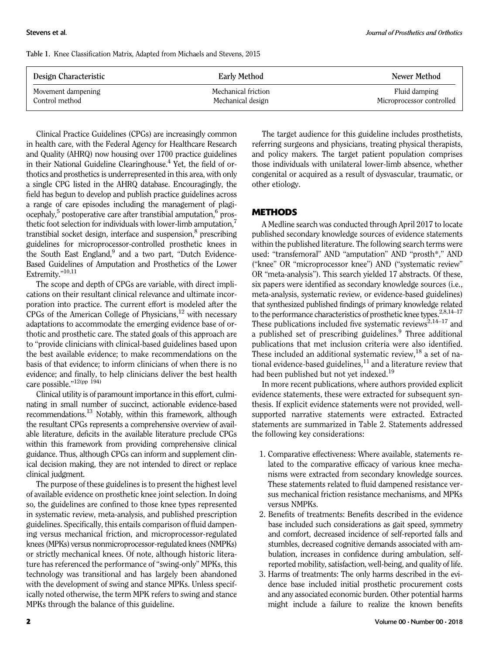Table 1. Knee Classification Matrix, Adapted from Michaels and Stevens, 2015

| Design Characteristic | Early Method        | Newer Method              |
|-----------------------|---------------------|---------------------------|
| Movement dampening    | Mechanical friction | Fluid damping             |
| Control method        | Mechanical design   | Microprocessor controlled |

Clinical Practice Guidelines (CPGs) are increasingly common in health care, with the Federal Agency for Healthcare Research and Quality (AHRQ) now housing over 1700 practice guidelines in their National Guideline Clearinghouse.<sup>4</sup> Yet, the field of orthotics and prosthetics is underrepresented in this area, with only a single CPG listed in the AHRQ database. Encouragingly, the field has begun to develop and publish practice guidelines across a range of care episodes including the management of plagi $ocephaly$ <sup>5</sup> postoperative care after transtibial amputation, $6$  prosthetic foot selection for individuals with lower-limb amputation,<sup>7</sup> transtibial socket design, interface and suspension,<sup>8</sup> prescribing guidelines for microprocessor-controlled prosthetic knees in the South East England, $9$  and a two part, "Dutch Evidence-Based Guidelines of Amputation and Prosthetics of the Lower Extremity."<sup>10,11</sup>

The scope and depth of CPGs are variable, with direct implications on their resultant clinical relevance and ultimate incorporation into practice. The current effort is modeled after the CPGs of the American College of Physicians, $^{12}$  with necessary adaptations to accommodate the emerging evidence base of orthotic and prosthetic care. The stated goals of this approach are to "provide clinicians with clinical-based guidelines based upon the best available evidence; to make recommendations on the basis of that evidence; to inform clinicians of when there is no evidence; and finally, to help clinicians deliver the best health care possible."<sup>12(pp 194)</sup>

Clinical utility is of paramount importance in this effort, culminating in small number of succinct, actionable evidence-based recommendations.13 Notably, within this framework, although the resultant CPGs represents a comprehensive overview of available literature, deficits in the available literature preclude CPGs within this framework from providing comprehensive clinical guidance. Thus, although CPGs can inform and supplement clinical decision making, they are not intended to direct or replace clinical judgment.

The purpose of these guidelines is to present the highest level of available evidence on prosthetic knee joint selection. In doing so, the guidelines are confined to those knee types represented in systematic review, meta-analysis, and published prescription guidelines. Specifically, this entails comparison of fluid dampening versus mechanical friction, and microprocessor-regulated knees (MPKs) versus nonmicroprocessor-regulated knees (NMPKs) or strictly mechanical knees. Of note, although historic literature has referenced the performance of "swing-only" MPKs, this technology was transitional and has largely been abandoned with the development of swing and stance MPKs. Unless specifically noted otherwise, the term MPK refers to swing and stance MPKs through the balance of this guideline.

The target audience for this guideline includes prosthetists, referring surgeons and physicians, treating physical therapists, and policy makers. The target patient population comprises those individuals with unilateral lower-limb absence, whether congenital or acquired as a result of dysvascular, traumatic, or other etiology.

## **METHODS**

A Medline search was conducted through April 2017 to locate published secondary knowledge sources of evidence statements within the published literature. The following search terms were used: "transfemoral" AND "amputation" AND "prosth\*," AND ("knee" OR "microprocessor knee") AND ("systematic review" OR "meta-analysis"). This search yielded 17 abstracts. Of these, six papers were identified as secondary knowledge sources (i.e., meta-analysis, systematic review, or evidence-based guidelines) that synthesized published findings of primary knowledge related to the performance characteristics of prosthetic knee types. $2,8,14-17$ These publications included five systematic reviews<sup>2,14–17</sup> and a published set of prescribing guidelines. $9$  Three additional publications that met inclusion criteria were also identified. These included an additional systematic review,  $^{18}$  a set of national evidence-based guidelines, $^{11}$  and a literature review that had been published but not yet indexed.<sup>19</sup>

In more recent publications, where authors provided explicit evidence statements, these were extracted for subsequent synthesis. If explicit evidence statements were not provided, wellsupported narrative statements were extracted. Extracted statements are summarized in Table 2. Statements addressed the following key considerations:

- 1. Comparative effectiveness: Where available, statements related to the comparative efficacy of various knee mechanisms were extracted from secondary knowledge sources. These statements related to fluid dampened resistance versus mechanical friction resistance mechanisms, and MPKs versus NMPKs.
- 2. Benefits of treatments: Benefits described in the evidence base included such considerations as gait speed, symmetry and comfort, decreased incidence of self-reported falls and stumbles, decreased cognitive demands associated with ambulation, increases in confidence during ambulation, selfreported mobility, satisfaction, well-being, and quality of life.
- 3. Harms of treatments: The only harms described in the evidence base included initial prosthetic procurement costs and any associated economic burden. Other potential harms might include a failure to realize the known benefits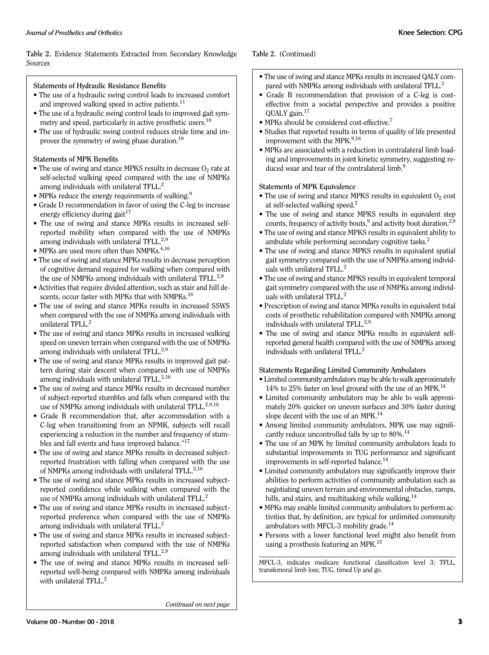Table 2. Evidence Statements Extracted from Secondary Knowledge Sources

#### Statements of Hydraulic Resistance Benefits

- The use of a hydraulic swing control leads to increased comfort and improved walking speed in active patients.<sup>11</sup>
- The use of a hydraulic swing control leads to improved gait symmetry and speed, particularly in active prosthetic users.<sup>18</sup>
- The use of hydraulic swing control reduces stride time and improves the symmetry of swing phase duration.<sup>19</sup>

#### Statements of MPK Benefits

- The use of swing and stance MPKS results in decrease  $O_2$  rate at self-selected walking speed compared with the use of NMPKs among individuals with unilateral TFLL.<sup>2</sup>
- MPKs reduce the energy requirements of walking.<sup>9</sup>
- Grade D recommendation in favor of using the C-leg to increase energy efficiency during gait $17$
- The use of swing and stance MPKs results in increased selfreported mobility when compared with the use of NMPKs among individuals with unilateral TFLL.<sup>2,9</sup>
- MPKs are used more often than NMPKs. $4,16$
- The use of swing and stance MPKs results in decrease perception of cognitive demand required for walking when compared with the use of NMPKs among individuals with unilateral TFLL.<sup>2,9</sup>
- Activities that require divided attention, such as stair and hill descents, occur faster with MPKs that with NMPKs.<sup>16</sup>
- The use of swing and stance MPKs results in increased SSWS when compared with the use of NMPKs among individuals with unilateral TFLL.<sup>2</sup>
- The use of swing and stance MPKs results in increased walking speed on uneven terrain when compared with the use of NMPKs among individuals with unilateral TFLL.<sup>2,9</sup>
- The use of swing and stance MPKs results in improved gait pattern during stair descent when compared with use of NMPKs among individuals with unilateral TFLL. $^{2,16}$
- The use of swing and stance MPKs results in decreased number of subject-reported stumbles and falls when compared with the use of NMPKs among individuals with unilateral TFLL.<sup>2,9,16</sup>
- Grade B recommendation that, after accommodation with a C-leg when transitioning from an NPMK, subjects will recall experiencing a reduction in the number and frequency of stumbles and fall events and have improved balance."<sup>17</sup>
- The use of swing and stance MPKs results in decreased subjectreported frustration with falling when compared with the use of NMPKs among individuals with unilateral TFLL.<sup>2,16</sup>
- The use of swing and stance MPKs results in increased subjectreported confidence while walking when compared with the use of NMPKs among individuals with unilateral TFLL.
- The use of swing and stance MPKs results in increased subjectreported preference when compared with the use of NMPKs among individuals with unilateral TFLL.<sup>2</sup>
- The use of swing and stance MPKs results in increased subjectreported satisfaction when compared with the use of NMPKs among individuals with unilateral TFLL.<sup>2,9</sup>
- The use of swing and stance MPKs results in increased selfreported well-being compared with NMPKs among individuals with unilateral TFLL.<sup>2</sup>

Table 2. (Continued)

- The use of swing and stance MPKs results in increased QALY compared with NMPKs among individuals with unilateral TFLL.<sup>2</sup>
- Grade B recommendation that provision of a C-leg is costeffective from a societal perspective and provides a positive QUALY gain.17
- MPKs should be considered cost-effective.<sup>7</sup>
- Studies that reported results in terms of quality of life presented improvement with the MPK.<sup>9,16</sup>
- MPKs are associated with a reduction in contralateral limb loading and improvements in joint kinetic symmetry, suggesting reduced wear and tear of the contralateral limb.<sup>9</sup>

#### Statements of MPK Equivalence

- The use of swing and stance MPKS results in equivalent  $O_2$  cost at self-selected walking speed. $<sup>2</sup>$ </sup>
- The use of swing and stance MPKS results in equivalent step counts, frequency of activity bouts, $9$  and activity bout duration.<sup>2,9</sup>
- The use of swing and stance MPKS results in equivalent ability to ambulate while performing secondary cognitive tasks.<sup>2</sup>
- The use of swing and stance MPKS results in equivalent spatial gait symmetry compared with the use of NMPKs among individuals with unilateral TFLL.<sup>2</sup>
- The use of swing and stance MPKS results in equivalent temporal gait symmetry compared with the use of NMPKs among individuals with unilateral TFLL.<sup>2</sup>
- Prescription of swing and stance MPKs results in equivalent total costs of prosthetic rehabilitation compared with NMPKs among individuals with unilateral TFLL.<sup>2,9</sup>
- The use of swing and stance MPKs results in equivalent selfreported general health compared with the use of NMPKs among individuals with unilateral TFLL. $<sup>2</sup>$ </sup>

#### Statements Regarding Limited Community Ambulators

- Limited community ambulators may be able to walk approximately 14% to 25% faster on level ground with the use of an MPK.<sup>14</sup>
- Limited community ambulators may be able to walk approximately 20% quicker on uneven surfaces and 30% faster during slope decent with the use of an MPK.<sup>14</sup>
- Among limited community ambulators, MPK use may significantly reduce uncontrolled falls by up to  $80\%$ .<sup>14</sup>
- The use of an MPK by limited community ambulators leads to substantial improvements in TUG performance and significant improvements in self-reported balance.<sup>14</sup>
- Limited community ambulators may significantly improve their abilities to perform activities of community ambulation such as negotiating uneven terrain and environmental obstacles, ramps, hills, and stairs, and multitasking while walking.<sup>14</sup>
- MPKs may enable limited community ambulators to perform activities that, by definition, are typical for unlimited community ambulators with MFCL-3 mobility grade.<sup>14</sup>
- Persons with a lower functional level might also benefit from using a prosthesis featuring an MPK.<sup>15</sup>

MFCL-3, indicates medicare functional classification level 3; TFLL, transfemoral limb loss; TUG, timed Up and go.

Continued on next page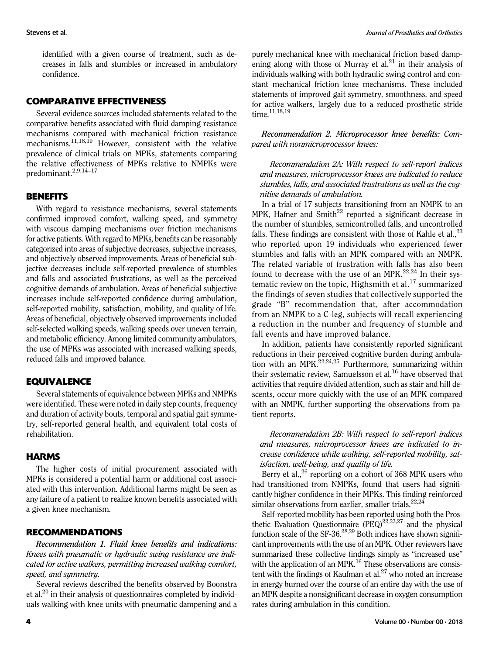identified with a given course of treatment, such as decreases in falls and stumbles or increased in ambulatory confidence.

# COMPARATIVE EFFECTIVENESS

Several evidence sources included statements related to the comparative benefits associated with fluid damping resistance mechanisms compared with mechanical friction resistance mechanisms.<sup>11,18,19</sup> However, consistent with the relative prevalence of clinical trials on MPKs, statements comparing the relative effectiveness of MPKs relative to NMPKs were predominant.2,9,14–<sup>17</sup>

#### BENEFITS

With regard to resistance mechanisms, several statements confirmed improved comfort, walking speed, and symmetry with viscous damping mechanisms over friction mechanisms for active patients. With regard to MPKs, benefits can be reasonably categorized into areas of subjective decreases, subjective increases, and objectively observed improvements. Areas of beneficial subjective decreases include self-reported prevalence of stumbles and falls and associated frustrations, as well as the perceived cognitive demands of ambulation. Areas of beneficial subjective increases include self-reported confidence during ambulation, self-reported mobility, satisfaction, mobility, and quality of life. Areas of beneficial, objectively observed improvements included self-selected walking speeds, walking speeds over uneven terrain, and metabolic efficiency. Among limited community ambulators, the use of MPKs was associated with increased walking speeds, reduced falls and improved balance.

# EQUIVALENCE

Several statements of equivalence between MPKs and NMPKs were identified. These were noted in daily step counts, frequency and duration of activity bouts, temporal and spatial gait symmetry, self-reported general health, and equivalent total costs of rehabilitation.

# **HARMS**

The higher costs of initial procurement associated with MPKs is considered a potential harm or additional cost associated with this intervention. Additional harms might be seen as any failure of a patient to realize known benefits associated with a given knee mechanism.

#### RECOMMENDATIONS

Recommendation 1. Fluid knee benefits and indications: Knees with pneumatic or hydraulic swing resistance are indicated for active walkers, permitting increased walking comfort, speed, and symmetry.

Several reviews described the benefits observed by Boonstra et al. $20$  in their analysis of questionnaires completed by individuals walking with knee units with pneumatic dampening and a

purely mechanical knee with mechanical friction based dampening along with those of Murray et al.<sup>21</sup> in their analysis of individuals walking with both hydraulic swing control and constant mechanical friction knee mechanisms. These included statements of improved gait symmetry, smoothness, and speed for active walkers, largely due to a reduced prosthetic stride time.<sup>11,18,19</sup>

Recommendation 2. Microprocessor knee benefits: Compared with nonmicroprocessor knees:

Recommendation 2A: With respect to self-report indices and measures, microprocessor knees are indicated to reduce stumbles, falls, and associated frustrations as well as the cognitive demands of ambulation.

In a trial of 17 subjects transitioning from an NMPK to an MPK, Hafner and Smith<sup>22</sup> reported a significant decrease in the number of stumbles, semicontrolled falls, and uncontrolled falls. These findings are consistent with those of Kahle et al.,  $^{23}$ who reported upon 19 individuals who experienced fewer stumbles and falls with an MPK compared with an NMPK. The related variable of frustration with falls has also been found to decrease with the use of an MPK. $22,24$  In their systematic review on the topic, Highsmith et al.<sup>17</sup> summarized the findings of seven studies that collectively supported the grade "B" recommendation that, after accommodation from an NMPK to a C-leg, subjects will recall experiencing a reduction in the number and frequency of stumble and fall events and have improved balance.

In addition, patients have consistently reported significant reductions in their perceived cognitive burden during ambulation with an MPK. $^{22,24,25}$  Furthermore, summarizing within their systematic review, Samuelsson et al.<sup>16</sup> have observed that activities that require divided attention, such as stair and hill descents, occur more quickly with the use of an MPK compared with an NMPK, further supporting the observations from patient reports.

Recommendation 2B: With respect to self-report indices and measures, microprocessor knees are indicated to increase confidence while walking, self-reported mobility, satisfaction, well-being, and quality of life.

Berry et al.,  $^{26}$  reporting on a cohort of 368 MPK users who had transitioned from NMPKs, found that users had significantly higher confidence in their MPKs. This finding reinforced similar observations from earlier, smaller trials. $22,24$ 

Self-reported mobility has been reported using both the Prosthetic Evaluation Questionnaire  $(PEQ)^{22,23,27}$  and the physical function scale of the SF-36. $28,29$  Both indices have shown significant improvements with the use of an MPK. Other reviewers have summarized these collective findings simply as "increased use" with the application of an MPK.<sup>16</sup> These observations are consistent with the findings of Kaufman et  $al$ <sup>27</sup> who noted an increase in energy burned over the course of an entire day with the use of an MPK despite a nonsignificant decrease in oxygen consumption rates during ambulation in this condition.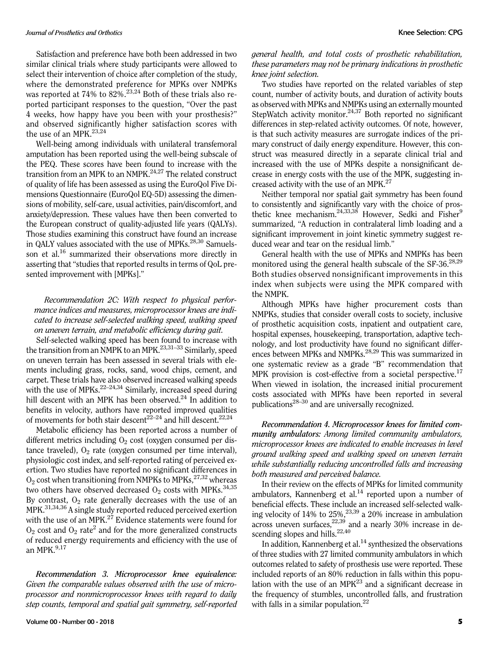Satisfaction and preference have both been addressed in two similar clinical trials where study participants were allowed to select their intervention of choice after completion of the study, where the demonstrated preference for MPKs over NMPKs was reported at 74% to 82%.<sup>23,24</sup> Both of these trials also reported participant responses to the question, "Over the past 4 weeks, how happy have you been with your prosthesis?" and observed significantly higher satisfaction scores with the use of an MPK.<sup>23,24</sup>

Well-being among individuals with unilateral transfemoral amputation has been reported using the well-being subscale of the PEQ. These scores have been found to increase with the transition from an MPK to an NMPK. $24,27$  The related construct of quality of life has been assessed as using the EuroQol Five Dimensions Questionnaire (EuroQol EQ-5D) assessing the dimensions of mobility, self-care, usual activities, pain/discomfort, and anxiety/depression. These values have then been converted to the European construct of quality-adjusted life years (QALYs). Those studies examining this construct have found an increase in OALY values associated with the use of MPKs.<sup>28,30</sup> Samuelsson et al.<sup>16</sup> summarized their observations more directly in asserting that "studies that reported results in terms of QoL presented improvement with [MPKs]."

# Recommendation 2C: With respect to physical performance indices and measures, microprocessor knees are indicated to increase self-selected walking speed, walking speed on uneven terrain, and metabolic efficiency during gait.

Self-selected walking speed has been found to increase with the transition from an NMPK to an MPK.<sup>23,31–33</sup> Similarly, speed on uneven terrain has been assessed in several trials with elements including grass, rocks, sand, wood chips, cement, and carpet. These trials have also observed increased walking speeds with the use of MPKs. $22-24,34$  Similarly, increased speed during hill descent with an MPK has been observed. $^{24}$  In addition to benefits in velocity, authors have reported improved qualities of movements for both stair descent<sup>22–24</sup> and hill descent.<sup>22,24</sup>

Metabolic efficiency has been reported across a number of different metrics including  $O<sub>2</sub>$  cost (oxygen consumed per distance traveled),  $O_2$  rate (oxygen consumed per time interval), physiologic cost index, and self-reported rating of perceived exertion. Two studies have reported no significant differences in  $O_2$  cost when transitioning from NMPKs to MPKs,  $27,32$  whereas two others have observed decreased  $O_2$  costs with MPKs.<sup>34,35</sup> By contrast,  $O_2$  rate generally decreases with the use of an MPK.31,34,36 A single study reported reduced perceived exertion with the use of an MPK.<sup>27</sup> Evidence statements were found for  $O<sub>2</sub>$  cost and  $O<sub>2</sub>$  rate<sup>2</sup> and for the more generalized constructs of reduced energy requirements and efficiency with the use of an MPK $.^{9,17}$ 

Recommendation 3. Microprocessor knee equivalence: Given the comparable values observed with the use of microprocessor and nonmicroprocessor knees with regard to daily step counts, temporal and spatial gait symmetry, self-reported

### general health, and total costs of prosthetic rehabilitation, these parameters may not be primary indications in prosthetic knee joint selection.

Two studies have reported on the related variables of step count, number of activity bouts, and duration of activity bouts as observed with MPKs and NMPKs using an externally mounted StepWatch activity monitor.<sup>24,37</sup> Both reported no significant differences in step-related activity outcomes. Of note, however, is that such activity measures are surrogate indices of the primary construct of daily energy expenditure. However, this construct was measured directly in a separate clinical trial and increased with the use of MPKs despite a nonsignificant decrease in energy costs with the use of the MPK, suggesting increased activity with the use of an MPK.<sup>27</sup>

Neither temporal nor spatial gait symmetry has been found to consistently and significantly vary with the choice of prosthetic knee mechanism.<sup>24,33,38</sup> However, Sedki and Fisher<sup>9</sup> summarized, "A reduction in contralateral limb loading and a significant improvement in joint kinetic symmetry suggest reduced wear and tear on the residual limb."

General health with the use of MPKs and NMPKs has been monitored using the general health subscale of the SF-36.<sup>28,29</sup> Both studies observed nonsignificant improvements in this index when subjects were using the MPK compared with the NMPK.

Although MPKs have higher procurement costs than NMPKs, studies that consider overall costs to society, inclusive of prosthetic acquisition costs, inpatient and outpatient care, hospital expenses, housekeeping, transportation, adaptive technology, and lost productivity have found no significant differences between MPKs and NMPKs.<sup>28,29</sup> This was summarized in one systematic review as a grade "B" recommendation that MPK provision is cost-effective from a societal perspective.<sup>17</sup> When viewed in isolation, the increased initial procurement costs associated with MPKs have been reported in several publications28–<sup>30</sup> and are universally recognized.

Recommendation 4. Microprocessor knees for limited community ambulators: Among limited community ambulators, microprocessor knees are indicated to enable increases in level ground walking speed and walking speed on uneven terrain while substantially reducing uncontrolled falls and increasing both measured and perceived balance.

In their review on the effects of MPKs for limited community ambulators, Kannenberg et al. $14$  reported upon a number of beneficial effects. These include an increased self-selected walking velocity of  $14\%$  to  $25\%,^{23,39}$  a  $20\%$  increase in ambulation across uneven surfaces, $22,39$  and a nearly 30% increase in descending slopes and hills.<sup>22,40</sup>

In addition, Kannenberg et al. $<sup>14</sup>$  synthesized the observations</sup> of three studies with 27 limited community ambulators in which outcomes related to safety of prosthesis use were reported. These included reports of an 80% reduction in falls within this population with the use of an  $MPK<sup>23</sup>$  and a significant decrease in the frequency of stumbles, uncontrolled falls, and frustration with falls in a similar population.<sup>22</sup>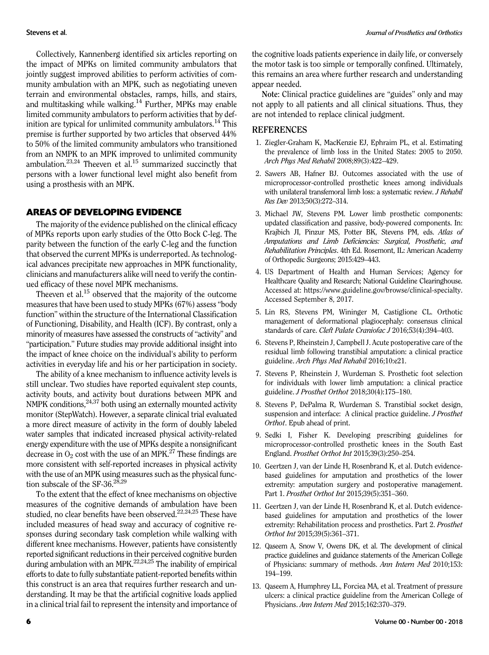Collectively, Kannenberg identified six articles reporting on the impact of MPKs on limited community ambulators that jointly suggest improved abilities to perform activities of community ambulation with an MPK, such as negotiating uneven terrain and environmental obstacles, ramps, hills, and stairs, and multitasking while walking.14 Further, MPKs may enable limited community ambulators to perform activities that by definition are typical for unlimited community ambulators.<sup>14</sup> This premise is further supported by two articles that observed 44% to 50% of the limited community ambulators who transitioned from an NMPK to an MPK improved to unlimited community ambulation.<sup>23,24</sup> Theeven et al.<sup>15</sup> summarized succinctly that persons with a lower functional level might also benefit from using a prosthesis with an MPK.

#### AREAS OF DEVELOPING EVIDENCE

The majority of the evidence published on the clinical efficacy of MPKs reports upon early studies of the Otto Bock C-leg. The parity between the function of the early C-leg and the function that observed the current MPKs is underreported. As technological advances precipitate new approaches in MPK functionality, clinicians and manufacturers alike will need to verify the continued efficacy of these novel MPK mechanisms.

Theeven et al.<sup>15</sup> observed that the majority of the outcome measures that have been used to study MPKs (67%) assess"body function" within the structure of the International Classification of Functioning, Disability, and Health (ICF). By contrast, only a minority of measures have assessed the constructs of"activity" and "participation." Future studies may provide additional insight into the impact of knee choice on the individual's ability to perform activities in everyday life and his or her participation in society.

The ability of a knee mechanism to influence activity levels is still unclear. Two studies have reported equivalent step counts, activity bouts, and activity bout durations between MPK and NMPK conditions, $24,37$  both using an externally mounted activity monitor (StepWatch). However, a separate clinical trial evaluated a more direct measure of activity in the form of doubly labeled water samples that indicated increased physical activity-related energy expenditure with the use of MPKs despite a nonsignificant decrease in  $O_2$  cost with the use of an MPK.<sup>27</sup> These findings are more consistent with self-reported increases in physical activity with the use of an MPK using measures such as the physical function subscale of the SF-36. $28,29$ 

To the extent that the effect of knee mechanisms on objective measures of the cognitive demands of ambulation have been studied, no clear benefits have been observed.<sup>22,24,25</sup> These have included measures of head sway and accuracy of cognitive responses during secondary task completion while walking with different knee mechanisms. However, patients have consistently reported significant reductions in their perceived cognitive burden during ambulation with an MPK.<sup>22,24,25</sup> The inability of empirical efforts to date to fully substantiate patient-reported benefits within this construct is an area that requires further research and understanding. It may be that the artificial cognitive loads applied in a clinical trial fail to represent the intensity and importance of the cognitive loads patients experience in daily life, or conversely the motor task is too simple or temporally confined. Ultimately, this remains an area where further research and understanding appear needed.

Note: Clinical practice guidelines are "guides" only and may not apply to all patients and all clinical situations. Thus, they are not intended to replace clinical judgment.

## **REFERENCES**

- 1. Ziegler-Graham K, MacKenzie EJ, Ephraim PL, et al. Estimating the prevalence of limb loss in the United States: 2005 to 2050. Arch Phys Med Rehabil 2008;89(3):422–429.
- 2. Sawers AB, Hafner BJ. Outcomes associated with the use of microprocessor-controlled prosthetic knees among individuals with unilateral transfemoral limb loss: a systematic review. *J Rehabil* Res Dev 2013;50(3):272–314.
- 3. Michael JW, Stevens PM. Lower limb prosthetic components: updated classification and passive, body-powered components. In: Krajbich JI, Pinzur MS, Potter BK, Stevens PM, eds. Atlas of Amputations and Limb Deficiencies: Surgical, Prosthetic, and Rehabilitation Principles. 4th Ed. Rosemont, IL: American Academy of Orthopedic Surgeons; 2015:429–443.
- 4. US Department of Health and Human Services; Agency for Healthcare Quality and Research; National Guideline Clearinghouse. Accessed at: [https://www.guideline.gov/browse/clinical-specialty](http://). Accessed September 8, 2017.
- 5. Lin RS, Stevens PM, Wininger M, Castiglione CL. Orthotic management of deformational plagiocephaly: consensus clinical standards of care. Cleft Palate Craniofac J 2016;53(4):394–403.
- 6. Stevens P, Rheinstein J, Campbell J. Acute postoperative care of the residual limb following transtibial amputation: a clinical practice guideline. Arch Phys Med Rehabil 2016;10:e21.
- 7. Stevens P, Rheinstein J, Wurdeman S. Prosthetic foot selection for individuals with lower limb amputation: a clinical practice guideline. J Prosthet Orthot 2018;30(4):175–180.
- 8. Stevens P, DePalma R, Wurdeman S. Transtibial socket design, suspension and interface: A clinical practice guideline. J Prosthet Orthot. Epub ahead of print.
- 9. Sedki I, Fisher K. Developing prescribing guidelines for microprocessor-controlled prosthetic knees in the South East England. Prosthet Orthot Int 2015;39(3):250–254.
- 10. Geertzen J, van der Linde H, Rosenbrand K, et al. Dutch evidencebased guidelines for amputation and prosthetics of the lower extremity: amputation surgery and postoperative management. Part 1. Prosthet Orthot Int 2015;39(5):351–360.
- 11. Geertzen J, van der Linde H, Rosenbrand K, et al. Dutch evidencebased guidelines for amputation and prosthetics of the lower extremity: Rehabilitation process and prosthetics. Part 2. Prosthet Orthot Int 2015;39(5):361–371.
- 12. Qaseem A, Snow V, Owens DK, et al. The development of clinical practice guidelines and guidance statements of the American College of Physicians: summary of methods. Ann Intern Med 2010;153: 194–199.
- 13. Qaseem A, Humphrey LL, Forciea MA, et al. Treatment of pressure ulcers: a clinical practice guideline from the American College of Physicians. Ann Intern Med 2015;162:370–379.